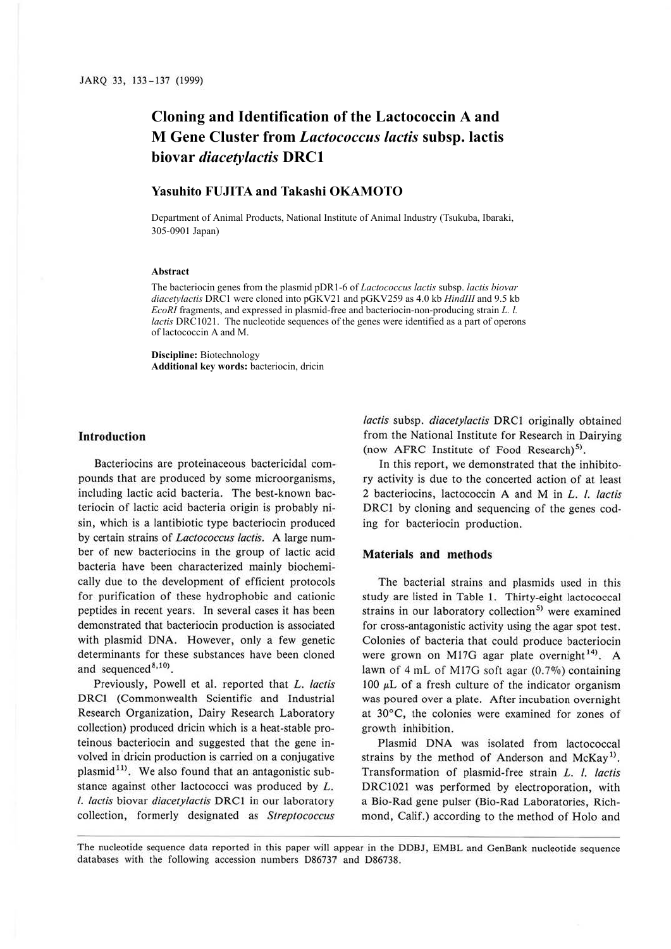# **Cloning and Identification of the Lactococcin A and M Gene Cluster from** *Lactococcus lactis* **subsp. lactis biovar** *diacetylactis* **DRC1**

## **Yasuhito FUJITA and Takashi OKAMOTO**

Department of Animal Products, National Institute of Animal Industry (Tsukuba, Ibaraki, 305-0901 Japan)

#### **Abstract**

The bacteriocin genes from the plasmid pDR1-6 of *Lactococcus lactis* subsp. *lactis biovar diacetylactis* DRC1 were cloned into pGKV21 and pGKV259 as 4.0 kb *HindIII* and 9.5 kb *EcoRI* fragments, and expressed in plasmid-free and bacteriocin-non-producing strain *L. l. lactis* DRC1021. The nucleotide sequences of the genes were identified as a part of operons of lactococcin A and M.

**Discipline:** Biotechnology **Additional key words:** bacteriocin, dricin

#### **Introduction**

Bacteriocins are proteinaceous bactericidal compounds that are produced by some microorganisms, including lactic acid bacteria. The best-known bacteriocin of lactic acid bacteria origin is probably nisin, which is a lantibiotic type bacteriocin produced by certain strains of *Lactococcus lactis.* A large number of new bacteriocins in the group of lactic acid bacteria have been characterized mainly biochemically due to the development of efficient protocols for purification of these hydrophobic and cationic peptides in recent years. In several cases it has been demonstrated that bacteriocin production is associated with plasmid DNA. However, only a few genetic determinants for these substances have been cloned and sequenced<sup>8,10</sup>).

Previously, Powell et al. reported that *L. lactis* DRCl (Commonwealth Scientific and Industrial Research Organization, Dairy Research Laboratory collection) produced dricin which is a heat-stable proteinous bacteriocin and suggested that the gene involved in dricin production is carried on a conjugative plasmid<sup>11)</sup>. We also found that an antagonistic substance against other lactococci was produced by L. *I. lactis* biovar *diacetylactis* DRCI in our laboratory collection, formerly designated as *Streptococcus*  *lactis* subsp. *diacetylactis* DRC1 originally obtained from the National Institute for Research in Dairying (now AFRC Institute of Food Research)<sup>5)</sup>.

In this report, we demonstrated that the inhibitory activity is due to the concerted action of at least 2 bacteriocins, lactococcin **A** and M in L. *I. lactis*  DRCl by cloning and sequencing of the genes coding for bacteriocin production.

#### **Materials and methods**

The bacterial strains and plasmids used in this study are listed in Table 1. Thirty-eight lactococcal strains in our laboratory collection<sup>5)</sup> were examined for cross-antagonistic activity using the agar spot test. Colonies of bacteria that could produce bacteriocin were grown on M17G agar plate overnight<sup>14)</sup>. A lawn of 4 mL of Ml7G soft agar (0.7%) containing 100  $\mu$ L of a fresh culture of the indicator organism was poured over a plate. After incubation overnight at 30°C, the colonies were examined for zones of growth inhibition.

Plasmid DNA was isolated from lactococcal strains by the method of Anderson and McKay<sup>1)</sup>. Transformation of plasmid-free strain *L. I. lactis*  DRC1021 was performed by electroporation, with a Bio-Rad gene pulser (Bio-Rad Laboratories, Richmond, Calif.) according to the method of Holo and

The nucleotide sequence data reported in this paper will appear in the DDBJ, EMBL and GenBank nucleotide sequence databases with the following accession numbers D86737 and D86738.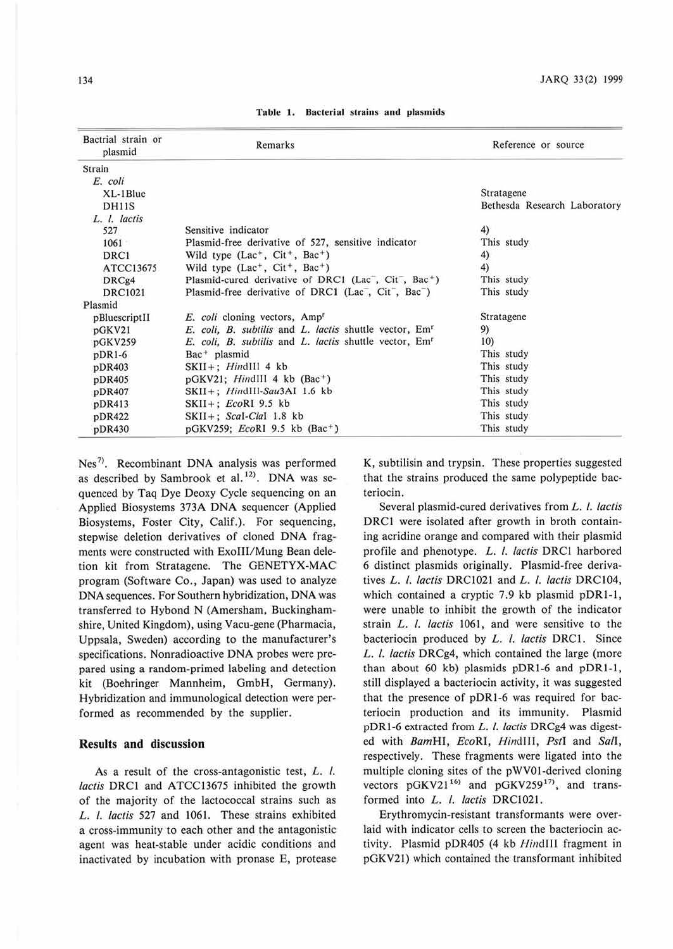| Bactrial strain or<br>plasmid | Remarks                                                            | Reference or source          |
|-------------------------------|--------------------------------------------------------------------|------------------------------|
| Strain                        |                                                                    |                              |
| E. coli                       |                                                                    |                              |
| $XL-1Blue$                    |                                                                    | Stratagene                   |
| DH11S                         |                                                                    | Bethesda Research Laboratory |
| L. I. lactis                  |                                                                    |                              |
| 527                           | Sensitive indicator                                                | 4)                           |
| 1061                          | Plasmid-free derivative of 527, sensitive indicator                | This study                   |
| DRC1                          | Wild type $(Lac^+, Cit^+, Bac^+)$                                  | 4)                           |
| ATCC13675                     | Wild type $(Lac^+, Cit^+, Bac^+)$                                  | 4)                           |
| DRCg4                         | Plasmid-cured derivative of DRC1 (Lac, Cit, Bac <sup>+</sup> )     | This study                   |
| <b>DRC1021</b>                | Plasmid-free derivative of DRC1 (Lac, Cit, Bac)                    | This study                   |
| Plasmid                       |                                                                    |                              |
| pBluescriptII                 | E. coli cloning vectors, Amp <sup>r</sup>                          | Stratagene                   |
| pGKV21                        | E. coli, B. subtilis and L. lactis shuttle vector, Em <sup>r</sup> | 9)                           |
| pGKV259                       | E. coli, B. subtilis and L. lactis shuttle vector, Em <sup>r</sup> | 10)                          |
| $pDR1-6$                      | Bac <sup>+</sup> plasmid                                           | This study                   |
| pDR403                        | $SKII +$ ; <i>HindIII</i> 4 kb                                     | This study                   |
| pDR405                        | $pGKV21$ ; HindIII 4 kb (Bac <sup>+</sup> )                        | This study                   |
| pDR407                        | SKII+; HindIII-Sau3AI 1.6 kb                                       | This study                   |
| pDR413                        | $SKII +$ ; EcoRI 9.5 kb                                            | This study                   |
| pDR422                        | $SKII +$ ; Scal-Clal 1.8 kb                                        | This study                   |
| pDR430                        | pGKV259; <i>EcoRI</i> 9.5 kb (Bac <sup>+</sup> )                   | This study                   |

Table 1. Bacterial strains and plasmids

Nes<sup>7)</sup>. Recombinant DNA analysis was performed as described by Sambrook et al.<sup>12)</sup>. DNA was sequenced by Taq Dye Deoxy Cycle sequencing on an Applied Biosystems 373A DNA sequencer (Applied Biosystems, Foster City, Calif.). For sequencing, stepwise deletion derivatives of cloned DNA fragments were constructed with Exolll/Mung Bean deletion kit from Stratagene. The GENETYX-MAC program (Software Co., Japan) was used to analyze DNA sequences. For Southern hybridization, DNA was transferred to Hybond N (Amersham, Buckinghamshire, United Kingdom), using Vacu-gene (Pharmacia, Uppsala, Sweden) according to the manufacturer's specifications. Nonradioactive DNA probes were prepared using a random-primed labeling and detection kit (Boehringer Mannheim, GmbH, Germany). Hybridization and immunological detection were performed as recommended by the supplier.

### **Results and discussion**

As a result of the cross-antagonistic test, L. I. *lactis* DRCI and ATCC13675 inhibited the growth of the majority of the lactococcal strains such as L. I. *lactis* 527 and 1061. These strains exhibited a cross-immunity to each other and the antagonistic agent was heat-stable under acidic conditions and inactivated by incubation with pronase E, protease K, subtilisin and trypsin. These properties suggested that the strains produced the same polypeptide bacteriocin.

Several plasmid-cured derivatives from *L. I. lactis*  DRCI were isolated after growth in broth containing acridine orange and compared with their plasmid profile and phenotype. L. *l. lactis* DRC1 harbored 6 distinct plasmids originally. Plasmid-free derivatives L. I. *lactis* DRCI02l and L. I. *lactis* DRC104, which contained a cryptic 7.9 kb plasmid  $pDR1-1$ , were unable to inhibit the growth of the indicator strain L. *l. lactis* 1061, and were sensitive to the bacteriocin produced by L. I. *lactis* DRCI. Since L. I. *lactis* DRCg4, which contained the large (more than about 60 kb) plasmids pDRl-6 and pDRl-1, still displayed a bacteriocin activity, it was suggested that the presence of pDRl-6 was required for bacteriocin production and its immunity. Plasmid pDRl-6 extracted from *L.* I. *lactis* DRCg4 was digested with *BamHI,* EcoRl, *Hindlll, Pstl* and *Sall,*  respectively. These fragments were ligated into the multiple cloning sites of the pWVOl-derived cloning vectors  $pGKV21^{16}$  and  $pGKV259^{17}$ , and transformed into L. I. *lactis* DRCI021.

Erythromycin-resistant transformants were overlaid with indicator cells to screen the bacteriocin activity. Plasmid pDR405 (4 kb *Hindlll* fragment in pGKV21) which contained the transformant inhibited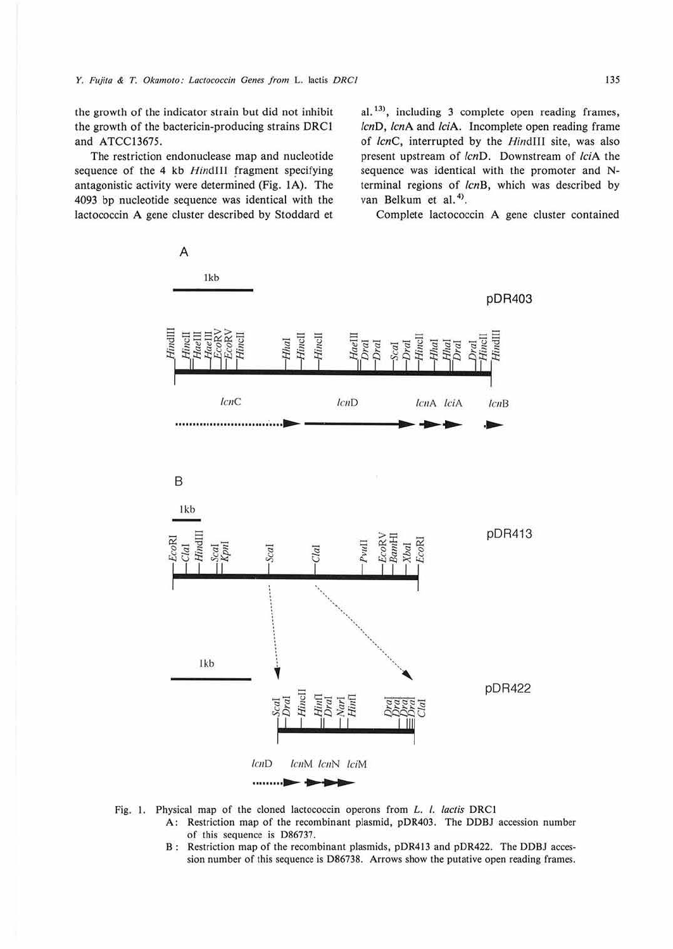the growth of the indicator strain but did not inhibit the growth of the bactericin-producing strains DRCl and ATCC13675.

The restriction endonuclease map and nucleotide sequence of the 4 kb HindIII fragment specifying antagonistic activity were determined (Fig. **IA).** The 4093 bp nucleotide sequence was identical with the lactococcin **A** gene cluster described by Stoddard et  $al.$ <sup>13)</sup>, including 3 complete open reading frames, lcnD, lcnA and lciA. Incomplete open reading frame of lcnC, interrupted by the HindIII site, was also present upstream of lcnD. Downstream of lciA the sequence was identical with the promoter and Nterminal regions of lcnB, which was described by van Belkum et al.<sup>4)</sup>.

Complete lactococcin A gene cluster contained



- - **A:** Restriction map of the recombinant plasmid, pOR403. The DDBJ accession number of this sequence is D86737.
	- B : Restriction map of the recombinant plasmids, pOR413 and p0R422. The DOBJ accession number of this sequence is 086738. Arrows show the putative open reading frames.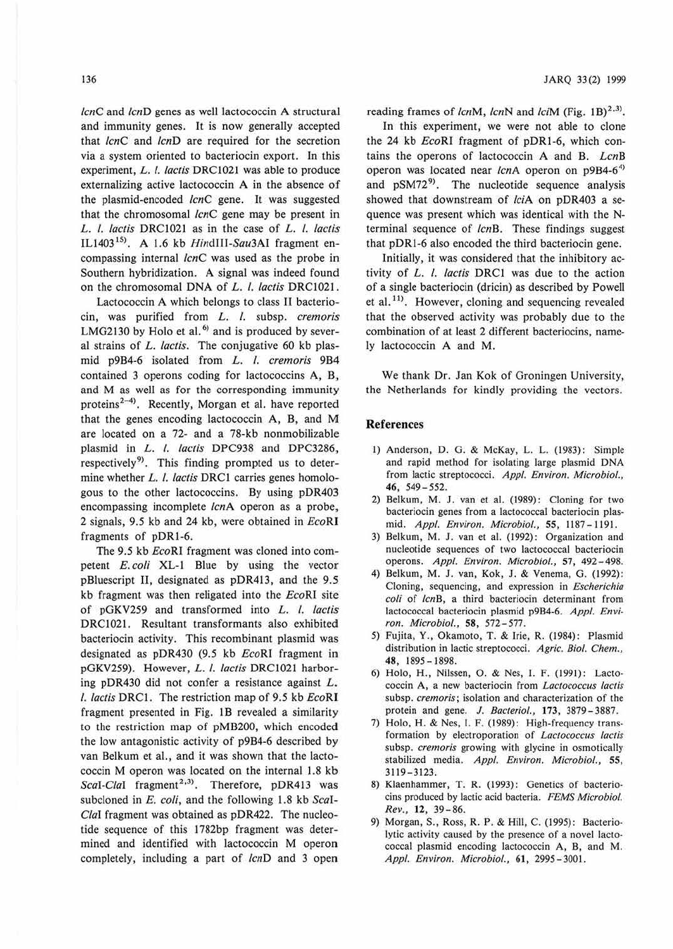*/cnC* and *lcnD* genes as well lactococcin A structural and immunity genes. It is now generally accepted that *lcnC* and *lcnD* are required for the secretion via a system oriented to bacteriocin export. In this experiment, *L. I. /actis* DRC1021 was able to produce externalizing active lactococcin A in the absence of the plasmid-encoded *lcnC* gene. It was suggested that the chromosomal *lcnC* gene may be present in L. I. *lactis* DRCl021 as in the case of l. I. *lactis*  ILJ403 <sup>15</sup> >. A 1.6 kb *Hindlll-Sau3Al* fragment encompassing internal *lcnC* was used as the probe in Southern hybridization. **A** signal was indeed found on the chromosomal DNA of L. *l. lactis* DRC1021.

Lactococcin A which belongs to class II bacteriocin, was purified from *l.* I. subsp. *cremoris*  LMG2130 by Holo et al. $^{6)}$  and is produced by several strains of *l. lactis.* The conjugative 60 kb plasmid p9B4-6 isolated from L. I. *cremoris* 9B4 contained 3 operons coding for lactococcins A, B, and M as well as for the corresponding immunity proteins<sup>2-4)</sup>. Recently, Morgan et al. have reported that the genes encoding lactococcin A, B, and M are located on a 72- and a 78-kb nonmobilizable plasmid in *l.* I. *lactis* DPC938 and DPC3286, respectively<sup>9</sup>. This finding prompted us to determine whether L. l. lactis DRC1 carries genes homologous to the other lactococcins. By using pDR403 encompassing incomplete *lcnA* operon as a probe, 2 signals, 9.5 kb and 24 kb, were obtained in *EcoRI*  fragments of pDRl-6.

The 9.5 kb *EcoRI* fragment was cloned into competent *E.coli* XL-1 Blue by using the vector pBluescript II, designated as pDR413, and the 9.5 kb fragment was then religated into the *EcoRI* site of pGKV259 and transformed into L. I. *laclis*  DRC1021. Resultant transformants also exhibited bacteriocin activity. This recombinant plasmid was designated as pDR430 (9.5 kb *EcoRI* fragment in pGKV259). However, *L. I. lactis* DRC1021 harboring pDR430 did not confer a resistance against L. *I. lactis* DRCl. The restriction map of 9.5 kb *EcoRl*  fragment presented in Fig. 1B revealed a similarity to the restriction map of pMB200, which encoded the low antagonistic activity of p9B4-6 described by van Belkum et al., and it was shown that the lactococcin M operon was located on the internal 1.8 kb Scal-Clal fragment<sup>2,3)</sup>. Therefore, pDR413 was subcloned in *E. coli,* and the following 1.8 kb *ScaI-Clal* fragment was obtained as pDR422. The nucleotide sequence of this 1782bp fragment was determined and identified with lactococcin M operon completely, including a part of *lcnD* and 3 open

reading frames of *lcnM, lcnN* and *lciM* (Fig. 1B)<sup>2,3</sup>.

In this experiment, we were not able to clone the 24 kb *EcoRI* fragment of pDRl-6, which contains the operons of lactococcin A and 8. *LcnB*  operon was located near *lcn*A operon on p9B4-6<sup>4)</sup> and pSM72<sup>9</sup>. The nucleotide sequence analysis showed that downstream of *lciA* on pDR403 a sequence was present which was identical with the Nterminal sequence of *lcnB.* These findings suggest that pDRl-6 also encoded the third bacteriocin gene.

Initially, it was considered that the inhibitory activity of L. I. *lactis* DRCl was due to the action of a single bacteriocin (dricin) as described by Powell et al.<sup>11)</sup>. However, cloning and sequencing revealed that the observed activity was probably due to the combination of at least 2 different bacteriocins, namely lactococcin A and M.

We thank Dr. Jan Kok of Groningen University, the Netherlands for kindly providing the vectors.

### **References**

- I) Anderson, 0. 0. & McKay, L. L. (1983): Simple and rapid method for isolating large plasmid DNA from lactic streptococci. *Appl. Environ. Microbiol.,*  **46,** 549-552.
- 2) Belkum, M. J. van et al. (1989): Cloning for two bacteriocin genes from a lactococcal bacteriocin plasmid. *Appl. Environ. Microbiol.,* **55,** 1187- 1191.
- 3) Belkum, M. J. van et al. (1992): Organization and nucleotide sequences of two lactococcal bacteriocin operons. Appl. Environ. Microbiol., 57, 492-498.
- 4) Belkum, M. J. van, Kok, J. & Venema, G. (1992): Cloning, sequencing, and expression in *Escherichia*  coli of *lcnB*, a third bacteriocin determinant from lactococcal bacteriocin plasmid p9B4-6. *Appl. Environ. Microbiol.,* **58,** 572- 577.
- 5) Fujita, Y., Okamoto, T. & Irie, R. (1984): Plasmid distribution in lactic streptococci. *Agric. Biol. Chem.,*  **48,** 1895-1898.
- 6) Holo, H., Nilssen, 0. & Nes, I. F. (1991): Lacto· coccin **A,** a new bacteriocin from *Lacrococcus lacris*  subsp. *cremoris;* isolation and characterization of the protein and gene. J. *Bacteriol.,* **173,** 3879-3887.
- 7) Holo, H. & Nes, I. F. (1989): High-frequency transformation by electroporation of *Lacrococcus lactis*  subsp. *cremoris* growing with glycine in osmotically stabilized media. *Appl. Environ. Microbiol.,* **55,**  3119-3123.
- 8) Klaenhammer, T. R. (1993): Genetics of bacteriocins produced by lactic acid bacteria. *FEMS Microbiol. Rev.,* **12,** 39-86.
- 9) Morgan, S., Ross, R. P. & Hill, C. (1995): Bacteriolytic activity caused by the presence of a novel lactococcal plasmid encoding lactococcin A, B, and M. *Appl. Environ. Microbiol.,* **61,** 2995- 3001.